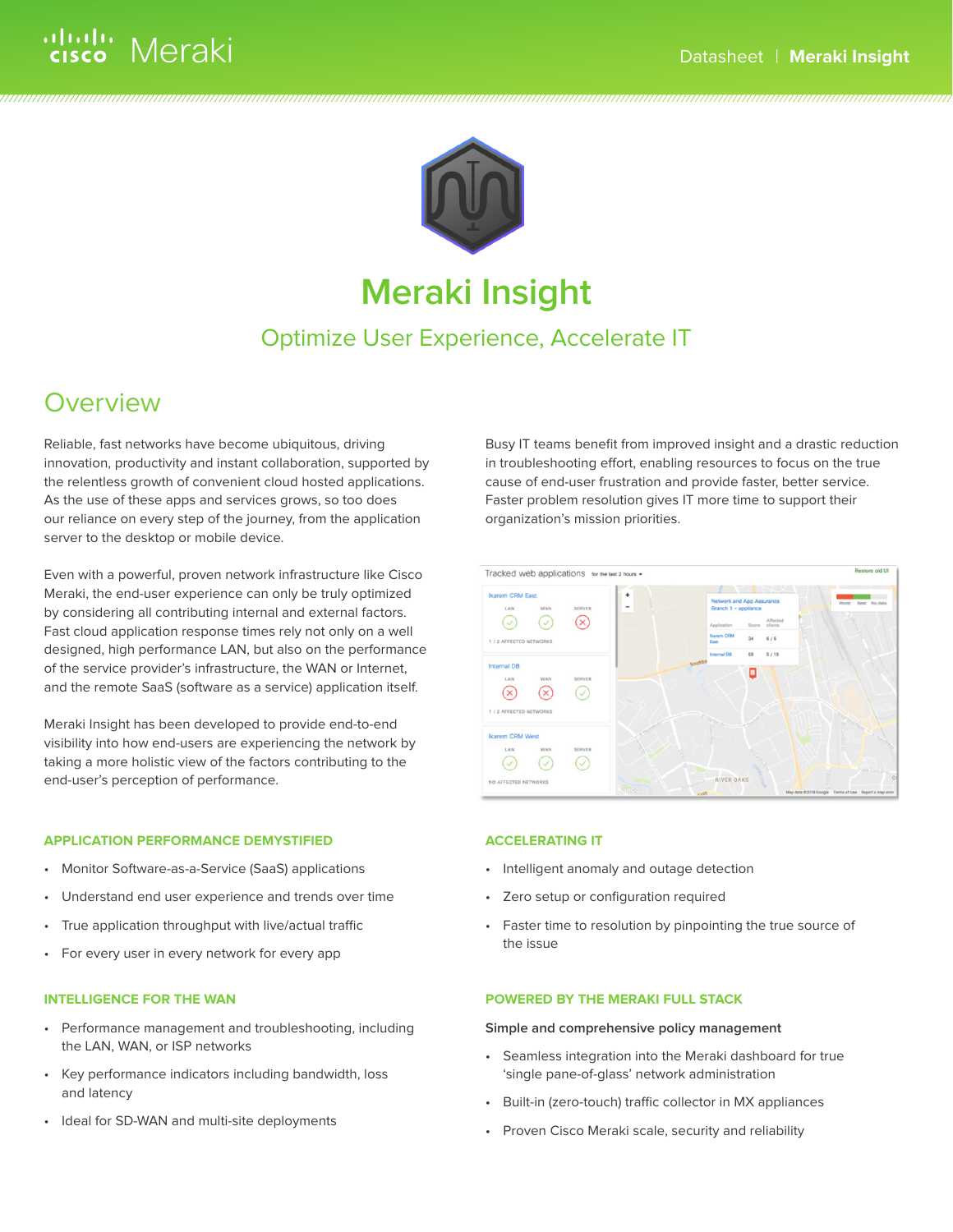



# **Meraki Insight**

### Optimize User Experience, Accelerate IT

## **Overview**

Reliable, fast networks have become ubiquitous, driving innovation, productivity and instant collaboration, supported by the relentless growth of convenient cloud hosted applications. As the use of these apps and services grows, so too does our reliance on every step of the journey, from the application server to the desktop or mobile device.

Even with a powerful, proven network infrastructure like Cisco Meraki, the end-user experience can only be truly optimized by considering all contributing internal and external factors. Fast cloud application response times rely not only on a well designed, high performance LAN, but also on the performance of the service provider's infrastructure, the WAN or Internet, and the remote SaaS (software as a service) application itself.

Meraki Insight has been developed to provide end-to-end visibility into how end-users are experiencing the network by taking a more holistic view of the factors contributing to the end-user's perception of performance.

#### **APPLICATION PERFORMANCE DEMYSTIFIED**

- Monitor Software-as-a-Service (SaaS) applications
- Understand end user experience and trends over time
- True application throughput with live/actual traffic
- For every user in every network for every app

#### **INTELLIGENCE FOR THE WAN**

- Performance management and troubleshooting, including the LAN, WAN, or ISP networks
- Key performance indicators including bandwidth, loss and latency
- Ideal for SD-WAN and multi-site deployments

Busy IT teams benefit from improved insight and a drastic reduction in troubleshooting effort, enabling resources to focus on the true cause of end-user frustration and provide faster, better service. Faster problem resolution gives IT more time to support their organization's mission priorities.



#### **ACCELERATING IT**

- Intelligent anomaly and outage detection
- Zero setup or configuration required
- Faster time to resolution by pinpointing the true source of the issue

#### **POWERED BY THE MERAKI FULL STACK**

#### **Simple and comprehensive policy management**

- Seamless integration into the Meraki dashboard for true 'single pane-of-glass' network administration
- Built-in (zero-touch) traffic collector in MX appliances
- Proven Cisco Meraki scale, security and reliability